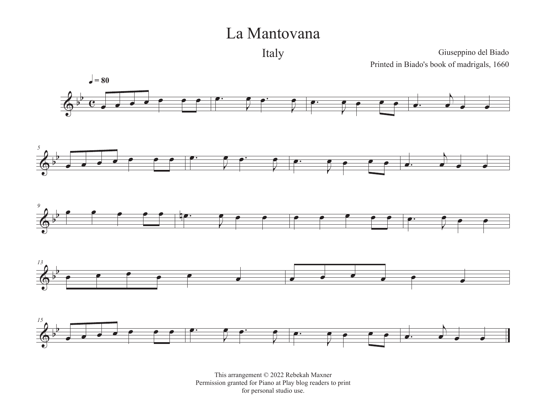## La Mantovana

Italy

Giuseppino del Biado Printed in Biado's book of madrigals, 1660



This arrangement © 2022 Rebekah Maxner Permission granted for Piano at Play blog readers to print for personal studio use.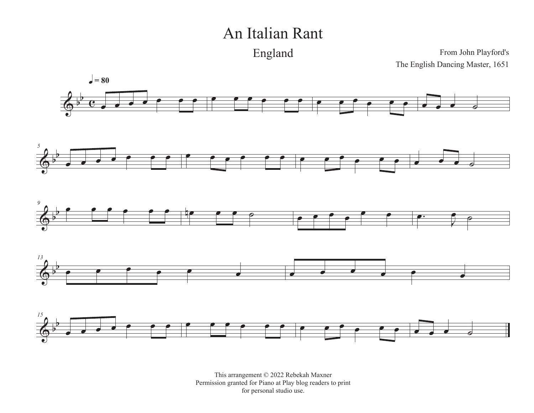## An Italian Rant

England

From John Playford's The English Dancing Master, 1651



This arrangement © 2022 Rebekah Maxner Permission granted for Piano at Play blog readers to print for personal studio use.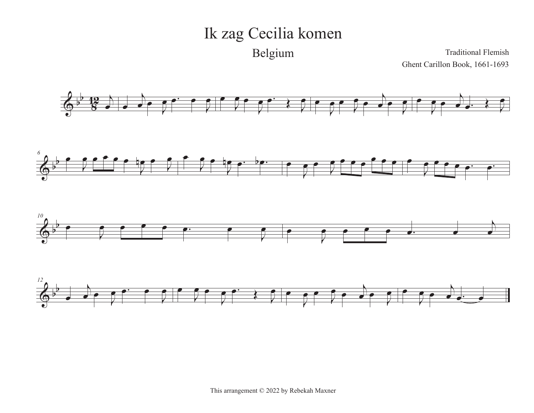## Ik zag Cecilia komen Belgium

Traditional Flemish Ghent Carillon Book, 1661-1693